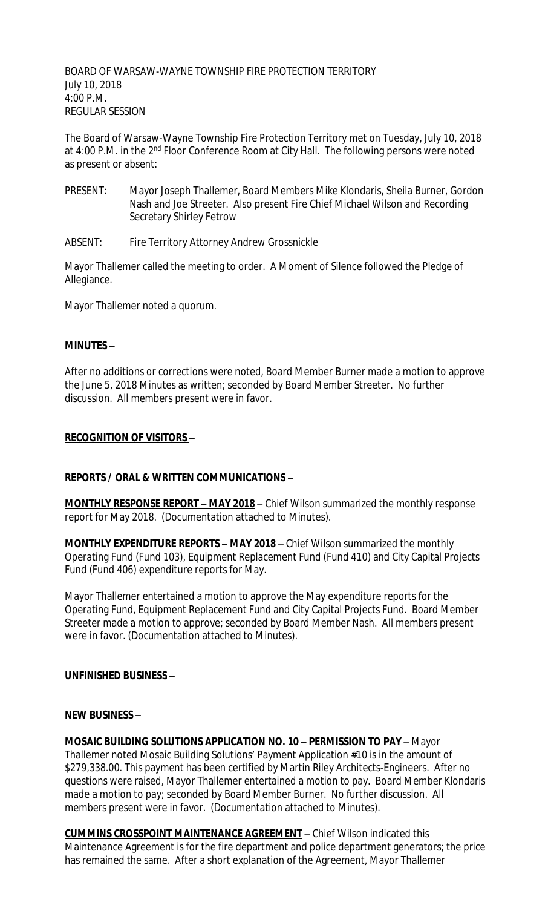BOARD OF WARSAW-WAYNE TOWNSHIP FIRE PROTECTION TERRITORY July 10, 2018 4:00 P.M. REGULAR SESSION

The Board of Warsaw-Wayne Township Fire Protection Territory met on Tuesday, July 10, 2018 at 4:00 P.M. in the 2<sup>nd</sup> Floor Conference Room at City Hall. The following persons were noted as present or absent:

- PRESENT: Mayor Joseph Thallemer, Board Members Mike Klondaris, Sheila Burner, Gordon Nash and Joe Streeter. Also present Fire Chief Michael Wilson and Recording Secretary Shirley Fetrow
- ABSENT: Fire Territory Attorney Andrew Grossnickle

Mayor Thallemer called the meeting to order. A Moment of Silence followed the Pledge of Allegiance.

Mayor Thallemer noted a quorum.

## **MINUTES –**

After no additions or corrections were noted, Board Member Burner made a motion to approve the June 5, 2018 Minutes as written; seconded by Board Member Streeter. No further discussion. All members present were in favor.

## **RECOGNITION OF VISITORS –**

# **REPORTS / ORAL & WRITTEN COMMUNICATIONS –**

**MONTHLY RESPONSE REPORT – MAY 2018** – Chief Wilson summarized the monthly response report for May 2018. (Documentation attached to Minutes).

**MONTHLY EXPENDITURE REPORTS – MAY 2018** – Chief Wilson summarized the monthly Operating Fund (Fund 103), Equipment Replacement Fund (Fund 410) and City Capital Projects Fund (Fund 406) expenditure reports for May.

Mayor Thallemer entertained a motion to approve the May expenditure reports for the Operating Fund, Equipment Replacement Fund and City Capital Projects Fund. Board Member Streeter made a motion to approve; seconded by Board Member Nash. All members present were in favor. (Documentation attached to Minutes).

# **UNFINISHED BUSINESS –**

### **NEW BUSINESS –**

**MOSAIC BUILDING SOLUTIONS APPLICATION NO. 10 – PERMISSION TO PAY** – Mayor Thallemer noted Mosaic Building Solutions' Payment Application #10 is in the amount of \$279,338.00. This payment has been certified by Martin Riley Architects-Engineers. After no questions were raised, Mayor Thallemer entertained a motion to pay. Board Member Klondaris made a motion to pay; seconded by Board Member Burner. No further discussion. All members present were in favor. (Documentation attached to Minutes).

**CUMMINS CROSSPOINT MAINTENANCE AGREEMENT** – Chief Wilson indicated this Maintenance Agreement is for the fire department and police department generators; the price has remained the same. After a short explanation of the Agreement, Mayor Thallemer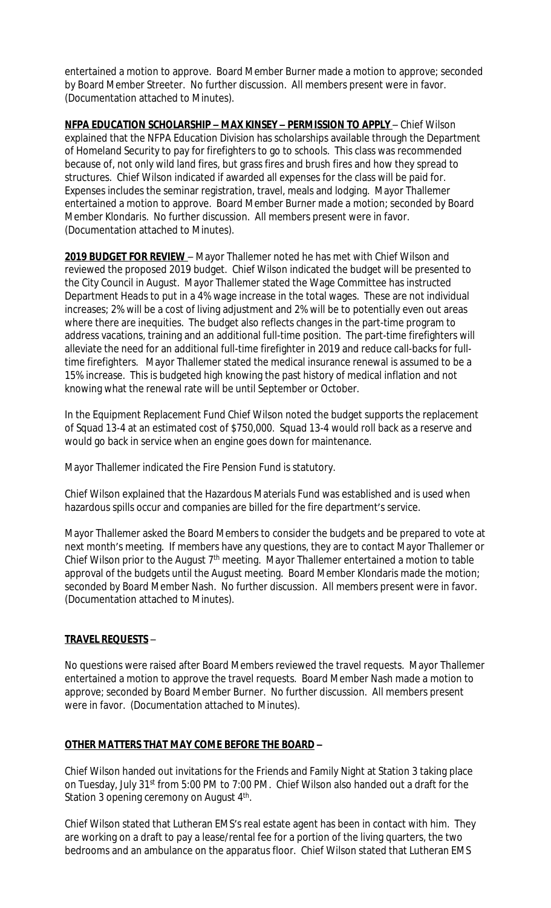entertained a motion to approve. Board Member Burner made a motion to approve; seconded by Board Member Streeter. No further discussion. All members present were in favor. (Documentation attached to Minutes).

**NFPA EDUCATION SCHOLARSHIP – MAX KINSEY – PERMISSION TO APPLY** – Chief Wilson explained that the NFPA Education Division has scholarships available through the Department of Homeland Security to pay for firefighters to go to schools. This class was recommended because of, not only wild land fires, but grass fires and brush fires and how they spread to structures. Chief Wilson indicated if awarded all expenses for the class will be paid for. Expenses includes the seminar registration, travel, meals and lodging. Mayor Thallemer entertained a motion to approve. Board Member Burner made a motion; seconded by Board Member Klondaris. No further discussion. All members present were in favor. (Documentation attached to Minutes).

**2019 BUDGET FOR REVIEW** – Mayor Thallemer noted he has met with Chief Wilson and reviewed the proposed 2019 budget. Chief Wilson indicated the budget will be presented to the City Council in August. Mayor Thallemer stated the Wage Committee has instructed Department Heads to put in a 4% wage increase in the total wages. These are not individual increases; 2% will be a cost of living adjustment and 2% will be to potentially even out areas where there are inequities. The budget also reflects changes in the part-time program to address vacations, training and an additional full-time position. The part-time firefighters will alleviate the need for an additional full-time firefighter in 2019 and reduce call-backs for fulltime firefighters. Mayor Thallemer stated the medical insurance renewal is assumed to be a 15% increase. This is budgeted high knowing the past history of medical inflation and not knowing what the renewal rate will be until September or October.

In the Equipment Replacement Fund Chief Wilson noted the budget supports the replacement of Squad 13-4 at an estimated cost of \$750,000. Squad 13-4 would roll back as a reserve and would go back in service when an engine goes down for maintenance.

Mayor Thallemer indicated the Fire Pension Fund is statutory.

Chief Wilson explained that the Hazardous Materials Fund was established and is used when hazardous spills occur and companies are billed for the fire department's service.

Mayor Thallemer asked the Board Members to consider the budgets and be prepared to vote at next month's meeting. If members have any questions, they are to contact Mayor Thallemer or Chief Wilson prior to the August 7<sup>th</sup> meeting. Mayor Thallemer entertained a motion to table approval of the budgets until the August meeting. Board Member Klondaris made the motion; seconded by Board Member Nash. No further discussion. All members present were in favor. (Documentation attached to Minutes).

# **TRAVEL REQUESTS** –

No questions were raised after Board Members reviewed the travel requests. Mayor Thallemer entertained a motion to approve the travel requests. Board Member Nash made a motion to approve; seconded by Board Member Burner. No further discussion. All members present were in favor. (Documentation attached to Minutes).

# **OTHER MATTERS THAT MAY COME BEFORE THE BOARD –**

Chief Wilson handed out invitations for the Friends and Family Night at Station 3 taking place on Tuesday, July 31st from 5:00 PM to 7:00 PM. Chief Wilson also handed out a draft for the Station 3 opening ceremony on August 4<sup>th</sup>.

Chief Wilson stated that Lutheran EMS's real estate agent has been in contact with him. They are working on a draft to pay a lease/rental fee for a portion of the living quarters, the two bedrooms and an ambulance on the apparatus floor. Chief Wilson stated that Lutheran EMS